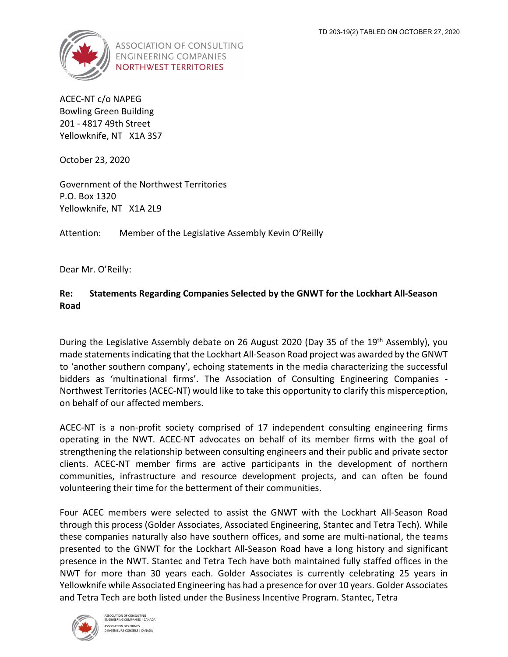

**ASSOCIATION OF CONSULTING ENGINEERING COMPANIES NORTHWEST TERRITORIES** 

ACEC‐NT c/o NAPEG Bowling Green Building 201 ‐ 4817 49th Street Yellowknife, NT X1A 3S7

October 23, 2020

Government of the Northwest Territories P.O. Box 1320 Yellowknife, NT X1A 2L9

Attention: Member of the Legislative Assembly Kevin O'Reilly

Dear Mr. O'Reilly:

## **Re: Statements Regarding Companies Selected by the GNWT for the Lockhart All‐Season Road**

During the Legislative Assembly debate on 26 August 2020 (Day 35 of the 19<sup>th</sup> Assembly), you made statements indicating that the Lockhart All-Season Road project was awarded by the GNWT to 'another southern company', echoing statements in the media characterizing the successful bidders as 'multinational firms'. The Association of Consulting Engineering Companies ‐ Northwest Territories (ACEC‐NT) would like to take this opportunity to clarify this misperception, on behalf of our affected members.

ACEC‐NT is a non‐profit society comprised of 17 independent consulting engineering firms operating in the NWT. ACEC‐NT advocates on behalf of its member firms with the goal of strengthening the relationship between consulting engineers and their public and private sector clients. ACEC‐NT member firms are active participants in the development of northern communities, infrastructure and resource development projects, and can often be found volunteering their time for the betterment of their communities.

Four ACEC members were selected to assist the GNWT with the Lockhart All‐Season Road through this process (Golder Associates, Associated Engineering, Stantec and Tetra Tech). While these companies naturally also have southern offices, and some are multi‐national, the teams presented to the GNWT for the Lockhart All‐Season Road have a long history and significant presence in the NWT. Stantec and Tetra Tech have both maintained fully staffed offices in the NWT for more than 30 years each. Golder Associates is currently celebrating 25 years in Yellowknife while Associated Engineering has had a presence for over 10 years. Golder Associates and Tetra Tech are both listed under the Business Incentive Program. Stantec, Tetra

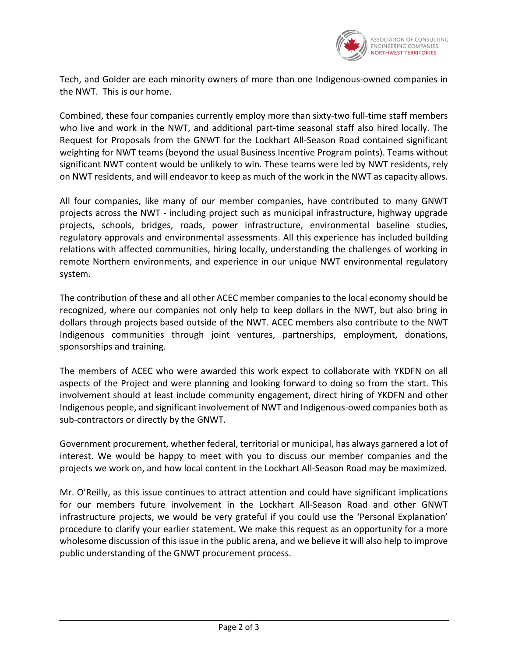

Tech, and Golder are each minority owners of more than one Indigenous‐owned companies in the NWT. This is our home.

Combined, these four companies currently employ more than sixty-two full-time staff members who live and work in the NWT, and additional part-time seasonal staff also hired locally. The Request for Proposals from the GNWT for the Lockhart All‐Season Road contained significant weighting for NWT teams (beyond the usual Business Incentive Program points). Teams without significant NWT content would be unlikely to win. These teams were led by NWT residents, rely on NWT residents, and will endeavor to keep as much of the work in the NWT as capacity allows.

All four companies, like many of our member companies, have contributed to many GNWT projects across the NWT ‐ including project such as municipal infrastructure, highway upgrade projects, schools, bridges, roads, power infrastructure, environmental baseline studies, regulatory approvals and environmental assessments. All this experience has included building relations with affected communities, hiring locally, understanding the challenges of working in remote Northern environments, and experience in our unique NWT environmental regulatory system.

The contribution of these and all other ACEC member companies to the local economy should be recognized, where our companies not only help to keep dollars in the NWT, but also bring in dollars through projects based outside of the NWT. ACEC members also contribute to the NWT Indigenous communities through joint ventures, partnerships, employment, donations, sponsorships and training.

The members of ACEC who were awarded this work expect to collaborate with YKDFN on all aspects of the Project and were planning and looking forward to doing so from the start. This involvement should at least include community engagement, direct hiring of YKDFN and other Indigenous people, and significant involvement of NWT and Indigenous‐owed companies both as sub‐contractors or directly by the GNWT.

Government procurement, whether federal, territorial or municipal, has always garnered a lot of interest. We would be happy to meet with you to discuss our member companies and the projects we work on, and how local content in the Lockhart All‐Season Road may be maximized.

Mr. O'Reilly, as this issue continues to attract attention and could have significant implications for our members future involvement in the Lockhart All-Season Road and other GNWT infrastructure projects, we would be very grateful if you could use the 'Personal Explanation' procedure to clarify your earlier statement. We make this request as an opportunity for a more wholesome discussion of this issue in the public arena, and we believe it will also help to improve public understanding of the GNWT procurement process.